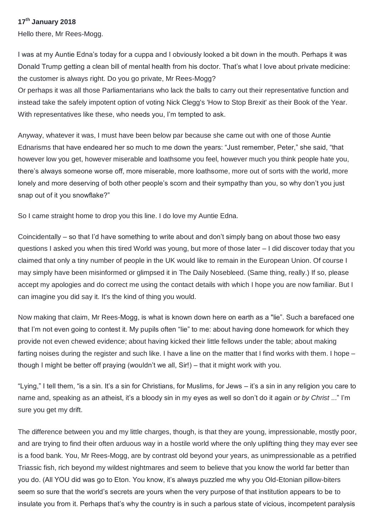## **17th January 2018**

Hello there, Mr Rees-Mogg.

I was at my Auntie Edna's today for a cuppa and I obviously looked a bit down in the mouth. Perhaps it was Donald Trump getting a clean bill of mental health from his doctor. That's what I love about private medicine: the customer is always right. Do you go private, Mr Rees-Mogg?

Or perhaps it was all those Parliamentarians who lack the balls to carry out their representative function and instead take the safely impotent option of voting Nick Clegg's 'How to Stop Brexit' as their Book of the Year. With representatives like these, who needs you, I'm tempted to ask.

Anyway, whatever it was, I must have been below par because she came out with one of those Auntie Ednarisms that have endeared her so much to me down the years: "Just remember, Peter," she said, "that however low you get, however miserable and loathsome you feel, however much you think people hate you, there's always someone worse off, more miserable, more loathsome, more out of sorts with the world, more lonely and more deserving of both other people's scorn and their sympathy than you, so why don't you just snap out of it you snowflake?"

So I came straight home to drop you this line. I do love my Auntie Edna.

Coincidentally – so that I'd have something to write about and don't simply bang on about those two easy questions I asked you when this tired World was young, but more of those later – I did discover today that you claimed that only a tiny number of people in the UK would like to remain in the European Union. Of course I may simply have been misinformed or glimpsed it in The Daily Nosebleed. (Same thing, really.) If so, please accept my apologies and do correct me using the contact details with which I hope you are now familiar. But I can imagine you did say it. It's the kind of thing you would.

Now making that claim, Mr Rees-Mogg, is what is known down here on earth as a "lie". Such a barefaced one that I'm not even going to contest it. My pupils often "lie" to me: about having done homework for which they provide not even chewed evidence; about having kicked their little fellows under the table; about making farting noises during the register and such like. I have a line on the matter that I find works with them. I hope – though I might be better off praying (wouldn't we all, Sir!) – that it might work with you.

"Lying," I tell them, "is a sin. It's a sin for Christians, for Muslims, for Jews – it's a sin in any religion you care to name and, speaking as an atheist, it's a bloody sin in my eyes as well so don't do it again *or by Christ* ..." I'm sure you get my drift.

The difference between you and my little charges, though, is that they are young, impressionable, mostly poor, and are trying to find their often arduous way in a hostile world where the only uplifting thing they may ever see is a food bank. You, Mr Rees-Mogg, are by contrast old beyond your years, as unimpressionable as a petrified Triassic fish, rich beyond my wildest nightmares and seem to believe that you know the world far better than you do. (All YOU did was go to Eton. You know, it's always puzzled me why you Old-Etonian pillow-biters seem so sure that the world's secrets are yours when the very purpose of that institution appears to be to insulate you from it. Perhaps that's why the country is in such a parlous state of vicious, incompetent paralysis